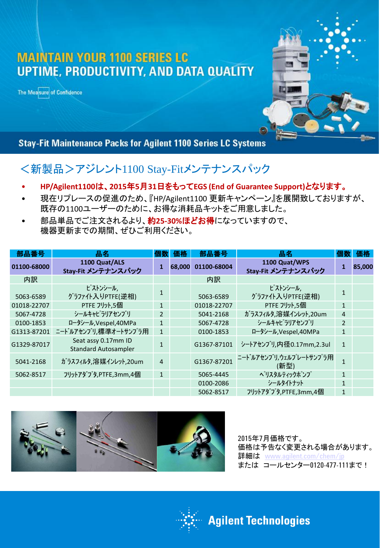## **MAINTAIN YOUR 1100 SERIES LC** UPTIME, PRODUCTIVITY, AND DATA QUALITY

The Measure of Confidence



**Stay-Fit Maintenance Packs for Agilent 1100 Series LC Systems** 

## <新製品>アジレント1100 Stay-Fitメンテナンスパック

- **HP/Agilent1100**は、**2015**年**5**月**31**日をもって**EGS (End of Guarantee Support)**となります。
- 現在リプレースの促進のため、『HP/Agilent1100 更新キャンペーン』を展開致しておりますが、 既存の1100ユーザーのために、お得な消耗品キットをご用意しました。
- 部品単品でご注文されるより、約**25-30%**ほどお得になっていますので、 機器更新までの期間、ぜひご利用ください。

| 部品番号        | 品名                                                 | <b>1回3</b>     | 価格     | 部品番号        | 品名                                  | 個数           | 価格     |
|-------------|----------------------------------------------------|----------------|--------|-------------|-------------------------------------|--------------|--------|
| 01100-68000 | 1100 Quat/ALS<br>Stay-Fit メンテナンスパック                |                | 68,000 | 01100-68004 | 1100 Quat/WPS<br>Stay-Fit メンテナンスパック | 1            | 85,000 |
| 内訳          |                                                    |                |        | 内訳          |                                     |              |        |
| 5063-6589   | ピストンシール,<br>グラファイト入りPTFE(逆相)                       |                |        | 5063-6589   | ピストンシール,<br>グラファイト入りPTFE(逆相)        | $\mathbf{1}$ |        |
| 01018-22707 | PTFE フリット,5個                                       | $\mathbf{1}$   |        | 01018-22707 | PTFE フリット,5個                        | $\mathbf{1}$ |        |
| 5067-4728   | シールキャピラリアセンブリ                                      | 2              |        | 5041-2168   | ガラスフィルタ,溶媒インレット,20um                | 4            |        |
| 0100-1853   | ロータシール, Vespel, 40MPa                              | $\mathbf{1}$   |        | 5067-4728   | シールキャピラリアセンブリ                       | 2            |        |
| G1313-87201 | ニードルアセンブリ,標準オートサンプラ用                               | $\mathbf{1}$   |        | 0100-1853   | ロータシール, Vespel, 40MPa               | $\mathbf{1}$ |        |
| G1329-87017 | Seat assy 0.17mm ID<br><b>Standard Autosampler</b> |                |        | G1367-87101 | シートアセンブリ,内径0.17mm,2.3ul             | $\mathbf{1}$ |        |
| 5041-2168   | ガラスフィルタ,溶媒インレット,20um                               | $\overline{4}$ |        | G1367-87201 | ニート゛ルアセンブリ,ウェルプレートサンプラ用<br>(新型)     | $\mathbf{1}$ |        |
| 5062-8517   | フリットアダプタ,PTFE,3mm,4個                               | $\mathbf{1}$   |        | 5065-4445   | ぺリスタルティックポ゚ンプ                       | $\mathbf{1}$ |        |
|             |                                                    |                |        | 0100-2086   | シールタイトナット                           | $\mathbf{1}$ |        |
|             |                                                    |                |        | 5062-8517   | フリットアダプタ,PTFE,3mm,4個                | $\mathbf{1}$ |        |



2015年7月価格です。 価格は予告なく変更される場合があります。 **詳細は [www.agilent.com/chem/jp](http://www.agilent.com/chem/jp)** または コールセンター0120-477-111まで!